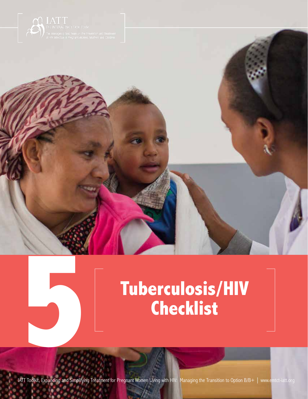

1000



Tuberculosis/HIV Checklist Checklist Checklist Checklist Checklist Checklist Checklist Checklist Checklist Check

**5**

**IATT Toolkit, Expanding and Simplifying Treatment for Pregnant Women Living with HIV: Managing the Transition to Option B/B+ | www.emtct-iatt.org**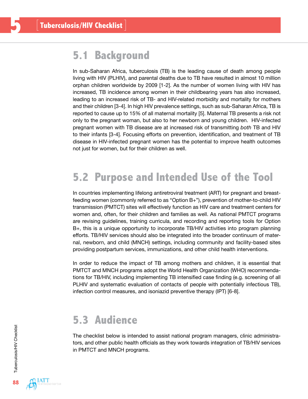## **5.1 Background**

In sub-Saharan Africa, tuberculosis (TB) is the leading cause of death among people living with HIV (PLHIV), and parental deaths due to TB have resulted in almost 10 million orphan children worldwide by 2009 [1-2]. As the number of women living with HIV has increased, TB incidence among women in their childbearing years has also increased, leading to an increased risk of TB- and HIV-related morbidity and mortality for mothers and their children [3-4]. In high HIV prevalence settings, such as sub-Saharan Africa, TB is reported to cause up to 15% of all maternal mortality [5]. Maternal TB presents a risk not only to the pregnant woman, but also to her newborn and young children. HIV-infected pregnant women with TB disease are at increased risk of transmitting *both* TB and HIV to their infants [3-4]. Focusing efforts on prevention, identification, and treatment of TB disease in HIV-infected pregnant women has the potential to improve health outcomes not just for women, but for their children as well.

## **5.2 Purpose and Intended Use of the Tool**

In countries implementing lifelong antiretroviral treatment (ART) for pregnant and breastfeeding women (commonly referred to as "Option B+"), prevention of mother-to-child HIV transmission (PMTCT) sites will effectively function as HIV care and treatment centers for women and, often, for their children and families as well. As national PMTCT programs are revising guidelines, training curricula, and recording and reporting tools for Option B+, this is a unique opportunity to incorporate TB/HIV activities into program planning efforts. TB/HIV services should also be integrated into the broader continuum of maternal, newborn, and child (MNCH) settings, including community and facility-based sites providing postpartum services, immunizations, and other child health interventions.

In order to reduce the impact of TB among mothers and children, it is essential that PMTCT and MNCH programs adopt the World Health Organization (WHO) recommendations for TB/HIV, including implementing TB intensified case finding (e.g. screening of all PLHIV and systematic evaluation of contacts of people with potentially infectious TB), infection control measures, and isoniazid preventive therapy (IPT) [6-8].

## **5.3 Audience**

The checklist below is intended to assist national program managers, clinic administrators, and other public health officials as they work towards integration of TB/HIV services in PMTCT and MNCH programs.

**55**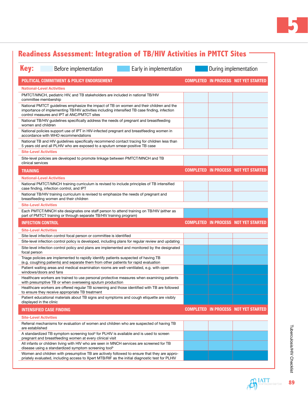

| <b>Key:</b>       | Before implementation                                                                                                                                                                                                                    | Early in implementation | During implementation |  |                                             |
|-------------------|------------------------------------------------------------------------------------------------------------------------------------------------------------------------------------------------------------------------------------------|-------------------------|-----------------------|--|---------------------------------------------|
|                   | POLITICAL COMMITMENT & POLICY ENDORSEMENT                                                                                                                                                                                                |                         |                       |  | <b>COMPLETED IN PROCESS NOT YET STARTED</b> |
|                   | <b>National-Level Activities</b>                                                                                                                                                                                                         |                         |                       |  |                                             |
|                   | PMTCT/MNCH, pediatric HIV, and TB stakeholders are included in national TB/HIV<br>committee membership                                                                                                                                   |                         |                       |  |                                             |
|                   | National PMTCT guidelines emphasize the impact of TB on women and their children and the<br>importance of implementing TB/HIV activities including intensified TB case finding, infection<br>control measures and IPT at ANC/PMTCT sites |                         |                       |  |                                             |
|                   | National TB/HIV guidelines specifically address the needs of pregnant and breastfeeding<br>women and children                                                                                                                            |                         |                       |  |                                             |
|                   | National policies support use of IPT in HIV-infected pregnant and breastfeeding women in<br>accordance with WHO recommendations                                                                                                          |                         |                       |  |                                             |
|                   | National TB and HIV guidelines specifically recommend contact tracing for children less than<br>5 years old and all PLHIV who are exposed to a sputum smear-positive TB case                                                             |                         |                       |  |                                             |
|                   | <b>Site-Level Activities</b>                                                                                                                                                                                                             |                         |                       |  |                                             |
| clinical services | Site-level policies are developed to promote linkage between PMTCT/MNCH and TB                                                                                                                                                           |                         |                       |  |                                             |
| <b>TRAINING</b>   |                                                                                                                                                                                                                                          |                         |                       |  | <b>COMPLETED IN PROCESS NOT YET STARTED</b> |
|                   | <b>National-Level Activities</b>                                                                                                                                                                                                         |                         |                       |  |                                             |
|                   | National PMTCT/MNCH training curriculum is revised to include principles of TB intensified<br>case finding, infection control, and IPT                                                                                                   |                         |                       |  |                                             |
|                   | National TB/HIV training curriculum is revised to emphasize the needs of pregnant and<br>breastfeeding women and their children                                                                                                          |                         |                       |  |                                             |
|                   | <b>Site-Level Activities</b>                                                                                                                                                                                                             |                         |                       |  |                                             |
|                   | Each PMTCT/MNCH site designates one staff person to attend training on TB/HIV (either as<br>part of PMTCT training or through separate TB/HIV training program)                                                                          |                         |                       |  |                                             |
|                   | <b>INFECTION CONTROL</b>                                                                                                                                                                                                                 |                         |                       |  | <b>COMPLETED IN PROCESS NOT YET STARTED</b> |
|                   | <b>Site-Level Activities</b>                                                                                                                                                                                                             |                         |                       |  |                                             |
|                   | Site-level infection control focal person or committee is identified                                                                                                                                                                     |                         |                       |  |                                             |
|                   | Site-level infection control policy is developed, including plans for regular review and updating                                                                                                                                        |                         |                       |  |                                             |
| focal person      | Site-level infection control policy and plans are implemented and monitored by the designated                                                                                                                                            |                         |                       |  |                                             |
|                   | Triage policies are implemented to rapidly identify patients suspected of having TB<br>(e.g. coughing patients) and separate them from other patients for rapid evaluation                                                               |                         |                       |  |                                             |
|                   | Patient waiting areas and medical examination rooms are well-ventilated, e.g. with open<br>windows/doors and fans                                                                                                                        |                         |                       |  |                                             |
|                   | Healthcare workers are trained to use personal protective measures when examining patients<br>with presumptive TB or when overseeing sputum production                                                                                   |                         |                       |  |                                             |
|                   | Healthcare workers are offered regular TB screening and those identified with TB are followed<br>to ensure they receive appropriate TB treatment                                                                                         |                         |                       |  |                                             |
|                   | Patient educational materials about TB signs and symptoms and cough etiquette are visibly<br>displayed in the clinic                                                                                                                     |                         |                       |  |                                             |
|                   | <b>INTENSIFIED CASE FINDING</b>                                                                                                                                                                                                          |                         |                       |  | <b>COMPLETED IN PROCESS NOT YET STARTED</b> |
|                   | <b>Site-Level Activities</b>                                                                                                                                                                                                             |                         |                       |  |                                             |
| are established   | Referral mechanisms for evaluation of women and children who are suspected of having TB                                                                                                                                                  |                         |                       |  |                                             |
|                   | A standardized TB symptom screening tool <sup>a</sup> for PLHIV is available and is used to screen<br>pregnant and breastfeeding women at every clinical visit                                                                           |                         |                       |  |                                             |
|                   | All infants or children living with HIV who are seen in MNCH services are screened for TB                                                                                                                                                |                         |                       |  |                                             |
|                   | disease using a standardized symptom screening tool <sup>b</sup>                                                                                                                                                                         |                         |                       |  |                                             |

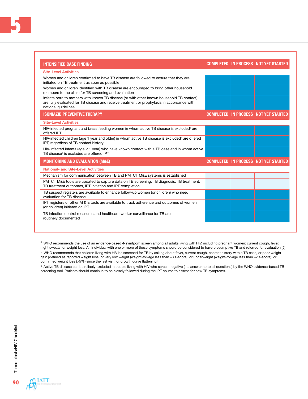| <b>INTENSIFIED CASE FINDING</b>                                                                                                                                                                               |  | <b>COMPLETED IN PROCESS NOT YET STARTED</b> |
|---------------------------------------------------------------------------------------------------------------------------------------------------------------------------------------------------------------|--|---------------------------------------------|
| <b>Site-Level Activities</b>                                                                                                                                                                                  |  |                                             |
| Women and children confirmed to have TB disease are followed to ensure that they are<br>initiated on TB treatment as soon as possible                                                                         |  |                                             |
| Women and children identified with TB disease are encouraged to bring other household<br>members to the clinic for TB screening and evaluation                                                                |  |                                             |
| Infants born to mothers with known TB disease (or with other known household TB contact)<br>are fully evaluated for TB disease and receive treatment or prophylaxis in accordance with<br>national guidelines |  |                                             |
| <b>ISONIAZID PREVENTIVE THERAPY</b>                                                                                                                                                                           |  | <b>COMPLETED IN PROCESS NOT YET STARTED</b> |
| <b>Site-Level Activities</b>                                                                                                                                                                                  |  |                                             |
| HIV-infected pregnant and breastfeeding women in whom active TB disease is excluded <sup>c</sup> are<br>offered IPT                                                                                           |  |                                             |
| HIV-infected children (age 1 year and older) in whom active TB disease is excluded <sup>c</sup> are offered<br>IPT, regardless of TB contact history                                                          |  |                                             |
| HIV-infected infants (age < 1 year) who have known contact with a TB case and in whom active<br>TB disease <sup>c</sup> is excluded are offered IPT                                                           |  |                                             |
| <b>MONITORING AND EVALUATION (M&amp;E)</b>                                                                                                                                                                    |  | <b>COMPLETED IN PROCESS NOT YET STARTED</b> |
| <b>National- and Site-Level Activities</b>                                                                                                                                                                    |  |                                             |
| Mechanism for communication between TB and PMTCT M&E systems is established                                                                                                                                   |  |                                             |
| PMTCT M&E tools are updated to capture data on TB screening, TB diagnosis, TB treatment,<br>TB treatment outcomes, IPT initiation and IPT completion                                                          |  |                                             |
| TB suspect registers are available to enhance follow-up women (or children) who need<br>evaluation for TB disease                                                                                             |  |                                             |
| IPT registers or other M & E tools are available to track adherence and outcomes of women<br>(or children) initiated on IPT                                                                                   |  |                                             |
| TB infection control measures and healthcare worker surveillance for TB are<br>routinely documented                                                                                                           |  |                                             |

a WHO recommends the use of an evidence-based 4-symtpom screen among all adults living with HIV, including pregnant women: current cough, fever, night sweats, or weight loss. An individual with one or more of these symptoms should be considered to have presumptive TB and referred for evaluation [6].

<sup>b</sup> WHO recommends that children living with HIV be screened for TB by asking about fever, current cough, contact history with a TB case, or poor weight gain [defined as reported weight loss, or very low weight (weight-for-age less than –3 z-score), or underweight (weight-for-age less than –2 z-score), or confirmed weight loss (>5%) since the last visit, or growth curve flattening].

<sup>c</sup> Active TB disease can be reliably excluded in people living with HIV who screen negative (i.e. answer no to all questions) by the WHO evidence-based TB screening tool. Patients should continue to be closely followed during the IPT course to assess for new TB symptoms.

90